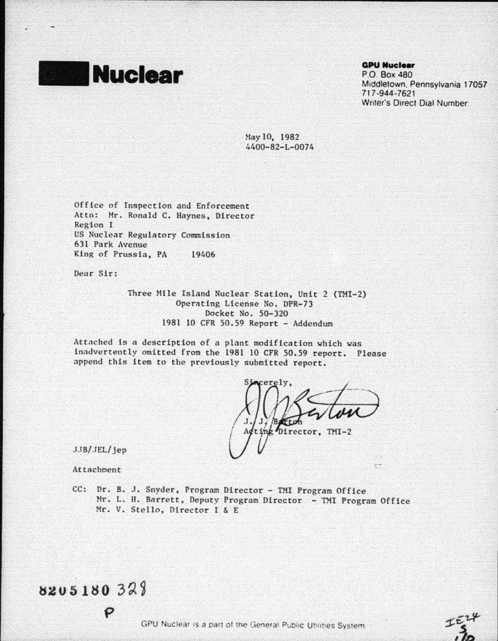

**QPU Nuclear** 

PO. Box 480 Middletown. Pennsylvania 17057. 717 ·944-7621 Writer's Direct Dial Number

May 10, 1982 4400-82-L-0074

Office of Inspection and Enforcement Attn: Mr. Ronald C. Haynes, Director Region I US Nuclear Regulatory Commission 631 Park Avenue King of Prussia, PA 19406

Dear Sir:

Three Nile Island Nuclear Station, Unit 2 (TMI-2) Operating License No. DPR-73 Docket No. 50-320 1981 10 CFR 50.59 Report - Addendum

Attached is a description of a plant modification which was inadvertently omitted from the 1981 10 CFR 50.59 report. Please append this item to the previously submitted report.

erely ting Director, TMI-2

e\*

JJB/ JEL/ jep

Attachment

8205180328

CC: Dr. B. J. Snyder, Program Director - TMI Program Office Mr. L. H. Barrett, Deputy Program Director - TMI Program Office Mr. v. Stello, Director t & E

GPU Nuclear is a part of the General Public Utilities System